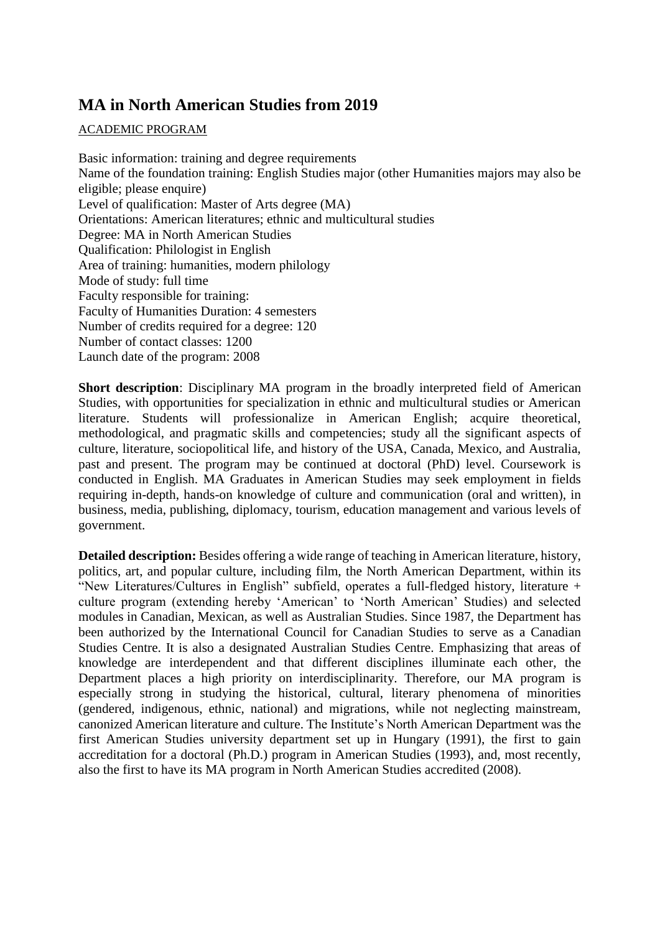# **MA in North American Studies from 2019**

### ACADEMIC PROGRAM

Basic information: training and degree requirements Name of the foundation training: English Studies major (other Humanities majors may also be eligible; please enquire) Level of qualification: Master of Arts degree (MA) Orientations: American literatures; ethnic and multicultural studies Degree: MA in North American Studies Qualification: Philologist in English Area of training: humanities, modern philology Mode of study: full time Faculty responsible for training: Faculty of Humanities Duration: 4 semesters Number of credits required for a degree: 120 Number of contact classes: 1200 Launch date of the program: 2008

**Short description**: Disciplinary MA program in the broadly interpreted field of American Studies, with opportunities for specialization in ethnic and multicultural studies or American literature. Students will professionalize in American English; acquire theoretical, methodological, and pragmatic skills and competencies; study all the significant aspects of culture, literature, sociopolitical life, and history of the USA, Canada, Mexico, and Australia, past and present. The program may be continued at doctoral (PhD) level. Coursework is conducted in English. MA Graduates in American Studies may seek employment in fields requiring in-depth, hands-on knowledge of culture and communication (oral and written), in business, media, publishing, diplomacy, tourism, education management and various levels of government.

**Detailed description:** Besides offering a wide range of teaching in American literature, history, politics, art, and popular culture, including film, the North American Department, within its "New Literatures/Cultures in English" subfield, operates a full-fledged history, literature + culture program (extending hereby 'American' to 'North American' Studies) and selected modules in Canadian, Mexican, as well as Australian Studies. Since 1987, the Department has been authorized by the International Council for Canadian Studies to serve as a Canadian Studies Centre. It is also a designated Australian Studies Centre. Emphasizing that areas of knowledge are interdependent and that different disciplines illuminate each other, the Department places a high priority on interdisciplinarity. Therefore, our MA program is especially strong in studying the historical, cultural, literary phenomena of minorities (gendered, indigenous, ethnic, national) and migrations, while not neglecting mainstream, canonized American literature and culture. The Institute's North American Department was the first American Studies university department set up in Hungary (1991), the first to gain accreditation for a doctoral (Ph.D.) program in American Studies (1993), and, most recently, also the first to have its MA program in North American Studies accredited (2008).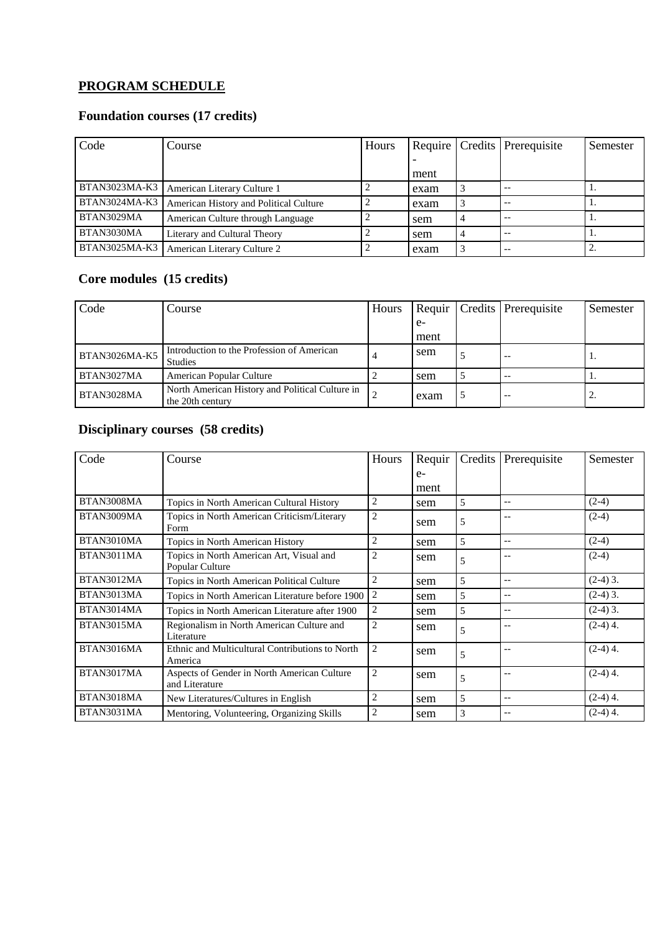# **PROGRAM SCHEDULE**

### **Foundation courses (17 credits)**

| Code                 | Course                                 | Hours |      | Require   Credits   Prerequisite | Semester |
|----------------------|----------------------------------------|-------|------|----------------------------------|----------|
|                      |                                        |       |      |                                  |          |
|                      |                                        |       | ment |                                  |          |
| <b>BTAN3023MA-K3</b> | American Literary Culture 1            |       | exam | $-$                              |          |
| <b>BTAN3024MA-K3</b> | American History and Political Culture |       | exam | $-$                              |          |
| BTAN3029MA           | American Culture through Language      |       | sem  | $-$                              |          |
| BTAN3030MA           | Literary and Cultural Theory           |       | sem  | $-$                              | 1.       |
| <b>BTAN3025MA-K3</b> | American Literary Culture 2            |       | exam | $ -$                             |          |

# **Core modules (15 credits)**

| Code          | Course                                                              | Hours | Requir |   | Credits Prerequisite | Semester |
|---------------|---------------------------------------------------------------------|-------|--------|---|----------------------|----------|
|               |                                                                     |       | $e-$   |   |                      |          |
|               |                                                                     |       | ment   |   |                      |          |
| BTAN3026MA-K5 | Introduction to the Profession of American<br>Studies               |       | sem    |   | $ -$                 |          |
| BTAN3027MA    | American Popular Culture                                            |       | sem    | J | $- -$                |          |
| BTAN3028MA    | North American History and Political Culture in<br>the 20th century |       | exam   | C | $ -$                 | ٠.       |

# **Disciplinary courses (58 credits)**

| Code       | Course                                                        | Hours          | Requir | Credits | Prerequisite             | Semester   |
|------------|---------------------------------------------------------------|----------------|--------|---------|--------------------------|------------|
|            |                                                               |                | $e-$   |         |                          |            |
|            |                                                               |                | ment   |         |                          |            |
| BTAN3008MA | Topics in North American Cultural History                     | 2              | sem    | 5       | $-$                      | $(2-4)$    |
| BTAN3009MA | Topics in North American Criticism/Literary<br>Form           | $\overline{2}$ | sem    | 5       | $-$                      | $(2-4)$    |
| BTAN3010MA | Topics in North American History                              | $\overline{2}$ | sem    | 5       | $-$                      | $(2-4)$    |
| BTAN3011MA | Topics in North American Art, Visual and<br>Popular Culture   | $\overline{c}$ | sem    | 5       | $- -$                    | $(2-4)$    |
| BTAN3012MA | Topics in North American Political Culture                    | 2              | sem    | 5       | $-$                      | $(2-4)$ 3. |
| BTAN3013MA | Topics in North American Literature before 1900               | $\overline{2}$ | sem    | 5       | $-$                      | $(2-4)$ 3. |
| BTAN3014MA | Topics in North American Literature after 1900                | $\overline{2}$ | sem    | 5       | $- -$                    | $(2-4)$ 3. |
| BTAN3015MA | Regionalism in North American Culture and<br>Literature       | $\overline{2}$ | sem    | 5       | $- -$                    | $(2-4)$ 4. |
| BTAN3016MA | Ethnic and Multicultural Contributions to North<br>America    | $\overline{2}$ | sem    | 5       |                          | $(2-4)$ 4. |
| BTAN3017MA | Aspects of Gender in North American Culture<br>and Literature | $\overline{2}$ | sem    | 5       | $\overline{a}$           | $(2-4)$ 4. |
| BTAN3018MA | New Literatures/Cultures in English                           | 2              | sem    | 5       | $-$                      | $(2-4)$ 4. |
| BTAN3031MA | Mentoring, Volunteering, Organizing Skills                    | $\overline{2}$ | sem    | 3       | $\overline{\phantom{m}}$ | $(2-4)$ 4. |